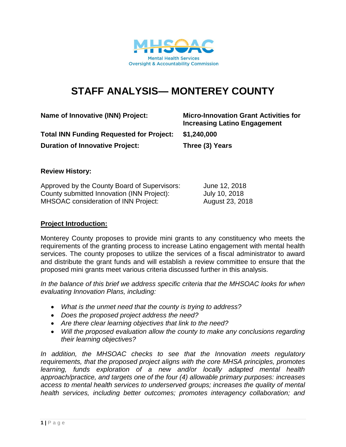

# **STAFF ANALYSIS— MONTEREY COUNTY**

| Name of Innovative (INN) Project:               | <b>Micro-Innovation Grant Activities for</b><br><b>Increasing Latino Engagement</b> |
|-------------------------------------------------|-------------------------------------------------------------------------------------|
| <b>Total INN Funding Requested for Project:</b> | \$1,240,000                                                                         |
| <b>Duration of Innovative Project:</b>          | Three (3) Years                                                                     |

#### **Review History:**

| Approved by the County Board of Supervisors: | June 12, 2018   |
|----------------------------------------------|-----------------|
| County submitted Innovation (INN Project):   | July 10, 2018   |
| <b>MHSOAC</b> consideration of INN Project:  | August 23, 2018 |

#### **Project Introduction:**

Monterey County proposes to provide mini grants to any constituency who meets the requirements of the granting process to increase Latino engagement with mental health services. The county proposes to utilize the services of a fiscal administrator to award and distribute the grant funds and will establish a review committee to ensure that the proposed mini grants meet various criteria discussed further in this analysis.

*In the balance of this brief we address specific criteria that the MHSOAC looks for when evaluating Innovation Plans, including:* 

- *What is the unmet need that the county is trying to address?*
- *Does the proposed project address the need?*
- *Are there clear learning objectives that link to the need?*
- *Will the proposed evaluation allow the county to make any conclusions regarding their learning objectives?*

*In addition, the MHSOAC checks to see that the Innovation meets regulatory requirements, that the proposed project aligns with the core MHSA principles, promotes learning, funds exploration of a new and/or locally adapted mental health approach/practice, and targets one of the four (4) allowable primary purposes: increases access to mental health services to underserved groups; increases the quality of mental health services, including better outcomes; promotes interagency collaboration; and*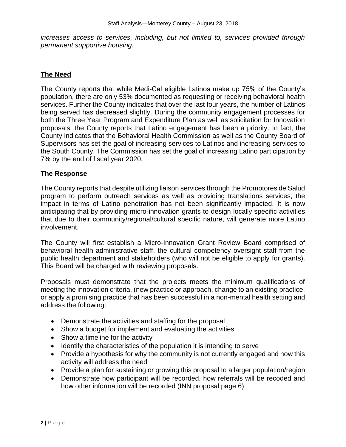*increases access to services, including, but not limited to, services provided through permanent supportive housing.*

# **The Need**

The County reports that while Medi-Cal eligible Latinos make up 75% of the County's population, there are only 53% documented as requesting or receiving behavioral health services. Further the County indicates that over the last four years, the number of Latinos being served has decreased slightly. During the community engagement processes for both the Three Year Program and Expenditure Plan as well as solicitation for Innovation proposals, the County reports that Latino engagement has been a priority. In fact, the County indicates that the Behavioral Health Commission as well as the County Board of Supervisors has set the goal of increasing services to Latinos and increasing services to the South County. The Commission has set the goal of increasing Latino participation by 7% by the end of fiscal year 2020.

## **The Response**

The County reports that despite utilizing liaison services through the Promotores de Salud program to perform outreach services as well as providing translations services, the impact in terms of Latino penetration has not been significantly impacted. It is now anticipating that by providing micro-innovation grants to design locally specific activities that due to their community/regional/cultural specific nature, will generate more Latino involvement.

The County will first establish a Micro-Innovation Grant Review Board comprised of behavioral health administrative staff, the cultural competency oversight staff from the public health department and stakeholders (who will not be eligible to apply for grants). This Board will be charged with reviewing proposals.

Proposals must demonstrate that the projects meets the minimum qualifications of meeting the innovation criteria, (new practice or approach, change to an existing practice, or apply a promising practice that has been successful in a non-mental health setting and address the following:

- Demonstrate the activities and staffing for the proposal
- Show a budget for implement and evaluating the activities
- Show a timeline for the activity
- Identify the characteristics of the population it is intending to serve
- Provide a hypothesis for why the community is not currently engaged and how this activity will address the need
- Provide a plan for sustaining or growing this proposal to a larger population/region
- Demonstrate how participant will be recorded, how referrals will be recoded and how other information will be recorded (INN proposal page 6)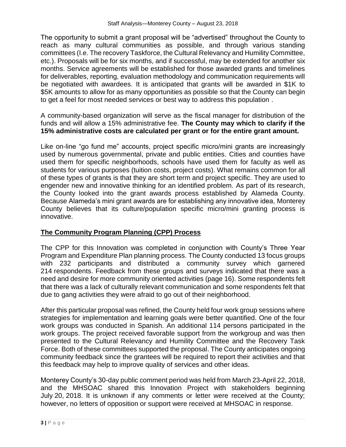The opportunity to submit a grant proposal will be "advertised" throughout the County to reach as many cultural communities as possible, and through various standing committees (I.e. The recovery Taskforce, the Cultural Relevancy and Humility Committee, etc.). Proposals will be for six months, and if successful, may be extended for another six months. Service agreements will be established for those awarded grants and timelines for deliverables, reporting, evaluation methodology and communication requirements will be negotiated with awardees. It is anticipated that grants will be awarded in \$1K to \$5K amounts to allow for as many opportunities as possible so that the County can begin to get a feel for most needed services or best way to address this population .

A community-based organization will serve as the fiscal manager for distribution of the funds and will allow a 15% administrative fee. **The County may which to clarify if the 15% administrative costs are calculated per grant or for the entire grant amount.**

Like on-line "go fund me" accounts, project specific micro/mini grants are increasingly used by numerous governmental, private and public entities. Cities and counties have used them for specific neighborhoods, schools have used them for faculty as well as students for various purposes (tuition costs, project costs). What remains common for all of these types of grants is that they are short term and project specific. They are used to engender new and innovative thinking for an identified problem. As part of its research, the County looked into the grant awards process established by Alameda County. Because Alameda's mini grant awards are for establishing any innovative idea, Monterey County believes that its culture/population specific micro/mini granting process is innovative.

# **The Community Program Planning (CPP) Process**

The CPP for this Innovation was completed in conjunction with County's Three Year Program and Expenditure Plan planning process. The County conducted 13 focus groups with 232 participants and distributed a community survey which garnered 214 respondents. Feedback from these groups and surveys indicated that there was a need and desire for more community oriented activities (page 16). Some respondents felt that there was a lack of culturally relevant communication and some respondents felt that due to gang activities they were afraid to go out of their neighborhood.

After this particular proposal was refined, the County held four work group sessions where strategies for implementation and learning goals were better quantified. One of the four work groups was conducted in Spanish. An additional 114 persons participated in the work groups. The project received favorable support from the workgroup and was then presented to the Cultural Relevancy and Humility Committee and the Recovery Task Force. Both of these committees supported the proposal. The County anticipates ongoing community feedback since the grantees will be required to report their activities and that this feedback may help to improve quality of services and other ideas.

Monterey County's 30-day public comment period was held from March 23-April 22, 2018, and the MHSOAC shared this Innovation Project with stakeholders beginning July 20, 2018. It is unknown if any comments or letter were received at the County; however, no letters of opposition or support were received at MHSOAC in response.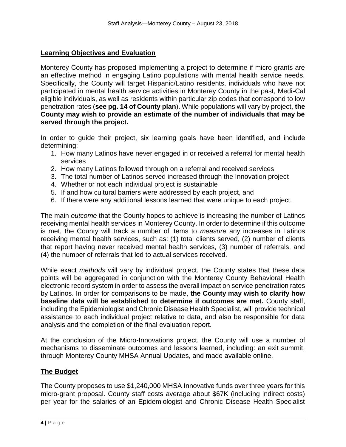## **Learning Objectives and Evaluation**

Monterey County has proposed implementing a project to determine if micro grants are an effective method in engaging Latino populations with mental health service needs. Specifically, the County will target Hispanic/Latino residents, individuals who have not participated in mental health service activities in Monterey County in the past, Medi-Cal eligible individuals, as well as residents within particular zip codes that correspond to low penetration rates (**see pg. 14 of County plan**). While populations will vary by project, **the County may wish to provide an estimate of the number of individuals that may be served through the project.**

In order to guide their project, six learning goals have been identified, and include determining:

- 1. How many Latinos have never engaged in or received a referral for mental health services
- 2. How many Latinos followed through on a referral and received services
- 3. The total number of Latinos served increased through the Innovation project
- 4. Whether or not each individual project is sustainable
- 5. If and how cultural barriers were addressed by each project, and
- 6. If there were any additional lessons learned that were unique to each project.

The main *outcome* that the County hopes to achieve is increasing the number of Latinos receiving mental health services in Monterey County. In order to determine if this outcome is met, the County will track a number of items to *measure* any increases in Latinos receiving mental health services, such as: (1) total clients served, (2) number of clients that report having never received mental health services, (3) number of referrals, and (4) the number of referrals that led to actual services received.

While exact *methods* will vary by individual project, the County states that these data points will be aggregated in conjunction with the Monterey County Behavioral Health electronic record system in order to assess the overall impact on service penetration rates by Latinos. In order for comparisons to be made, **the County may wish to clarify how baseline data will be established to determine if outcomes are met.** County staff, including the Epidemiologist and Chronic Disease Health Specialist, will provide technical assistance to each individual project relative to data, and also be responsible for data analysis and the completion of the final evaluation report.

At the conclusion of the Micro-Innovations project, the County will use a number of mechanisms to disseminate outcomes and lessons learned, including: an exit summit, through Monterey County MHSA Annual Updates, and made available online.

### **The Budget**

The County proposes to use \$1,240,000 MHSA Innovative funds over three years for this micro-grant proposal. County staff costs average about \$67K (including indirect costs) per year for the salaries of an Epidemiologist and Chronic Disease Health Specialist